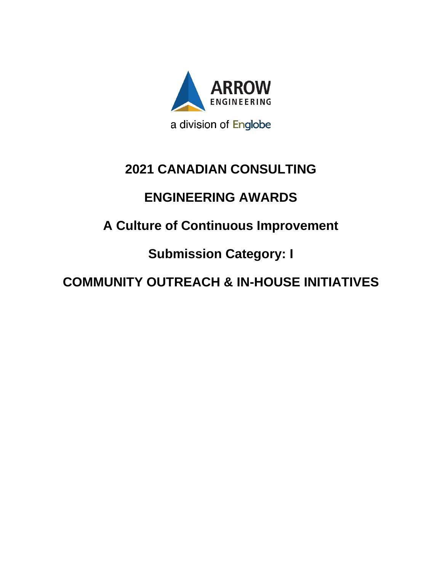

### **2021 CANADIAN CONSULTING**

## **ENGINEERING AWARDS**

### **A Culture of Continuous Improvement**

### **Submission Category: I**

# **COMMUNITY OUTREACH & IN-HOUSE INITIATIVES**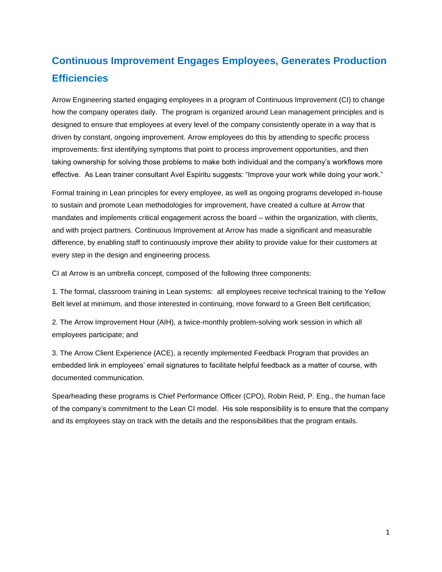### **Continuous Improvement Engages Employees, Generates Production Efficiencies**

Arrow Engineering started engaging employees in a program of Continuous Improvement (CI) to change how the company operates daily. The program is organized around Lean management principles and is designed to ensure that employees at every level of the company consistently operate in a way that is driven by constant, ongoing improvement. Arrow employees do this by attending to specific process improvements: first identifying symptoms that point to process improvement opportunities, and then taking ownership for solving those problems to make both individual and the company's workflows more effective. As Lean trainer consultant Avel Espiritu suggests: "Improve your work while doing your work."

Formal training in Lean principles for every employee, as well as ongoing programs developed in-house to sustain and promote Lean methodologies for improvement, have created a culture at Arrow that mandates and implements critical engagement across the board – within the organization, with clients, and with project partners. Continuous Improvement at Arrow has made a significant and measurable difference, by enabling staff to continuously improve their ability to provide value for their customers at every step in the design and engineering process.

CI at Arrow is an umbrella concept, composed of the following three components:

1. The formal, classroom training in Lean systems: all employees receive technical training to the Yellow Belt level at minimum, and those interested in continuing, move forward to a Green Belt certification;

2. The Arrow Improvement Hour (AIH), a twice-monthly problem-solving work session in which all employees participate; and

3. The Arrow Client Experience (ACE), a recently implemented Feedback Program that provides an embedded link in employees' email signatures to facilitate helpful feedback as a matter of course, with documented communication.

Spearheading these programs is Chief Performance Officer (CPO), Robin Reid, P. Eng., the human face of the company's commitment to the Lean CI model. His sole responsibility is to ensure that the company and its employees stay on track with the details and the responsibilities that the program entails.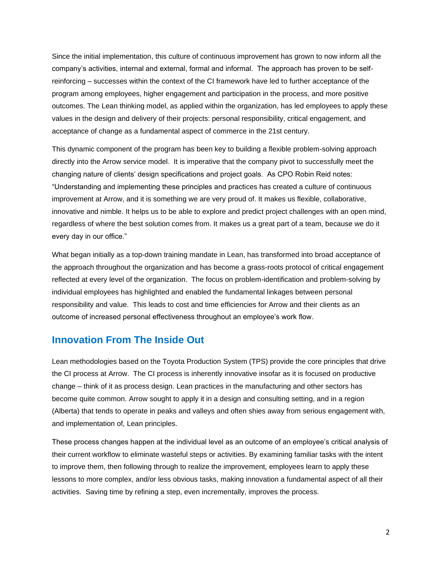Since the initial implementation, this culture of continuous improvement has grown to now inform all the company's activities, internal and external, formal and informal. The approach has proven to be selfreinforcing – successes within the context of the CI framework have led to further acceptance of the program among employees, higher engagement and participation in the process, and more positive outcomes. The Lean thinking model, as applied within the organization, has led employees to apply these values in the design and delivery of their projects: personal responsibility, critical engagement, and acceptance of change as a fundamental aspect of commerce in the 21st century.

This dynamic component of the program has been key to building a flexible problem-solving approach directly into the Arrow service model. It is imperative that the company pivot to successfully meet the changing nature of clients' design specifications and project goals. As CPO Robin Reid notes: "Understanding and implementing these principles and practices has created a culture of continuous improvement at Arrow, and it is something we are very proud of. It makes us flexible, collaborative, innovative and nimble. It helps us to be able to explore and predict project challenges with an open mind, regardless of where the best solution comes from. It makes us a great part of a team, because we do it every day in our office."

What began initially as a top-down training mandate in Lean, has transformed into broad acceptance of the approach throughout the organization and has become a grass-roots protocol of critical engagement reflected at every level of the organization. The focus on problem-identification and problem-solving by individual employees has highlighted and enabled the fundamental linkages between personal responsibility and value. This leads to cost and time efficiencies for Arrow and their clients as an outcome of increased personal effectiveness throughout an employee's work flow.

#### **Innovation From The Inside Out**

Lean methodologies based on the Toyota Production System (TPS) provide the core principles that drive the CI process at Arrow. The CI process is inherently innovative insofar as it is focused on productive change – think of it as process design. Lean practices in the manufacturing and other sectors has become quite common. Arrow sought to apply it in a design and consulting setting, and in a region (Alberta) that tends to operate in peaks and valleys and often shies away from serious engagement with, and implementation of, Lean principles.

These process changes happen at the individual level as an outcome of an employee's critical analysis of their current workflow to eliminate wasteful steps or activities. By examining familiar tasks with the intent to improve them, then following through to realize the improvement, employees learn to apply these lessons to more complex, and/or less obvious tasks, making innovation a fundamental aspect of all their activities. Saving time by refining a step, even incrementally, improves the process.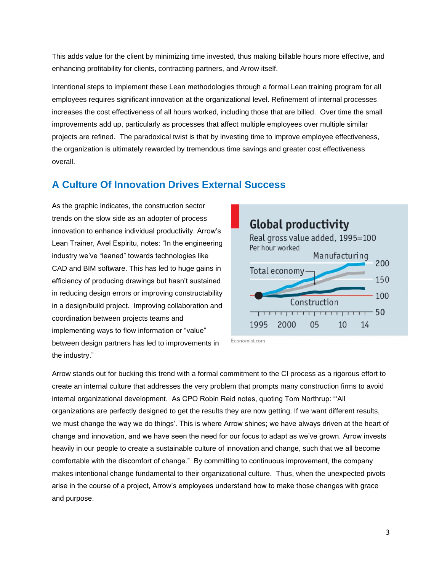This adds value for the client by minimizing time invested, thus making billable hours more effective, and enhancing profitability for clients, contracting partners, and Arrow itself.

Intentional steps to implement these Lean methodologies through a formal Lean training program for all employees requires significant innovation at the organizational level. Refinement of internal processes increases the cost effectiveness of all hours worked, including those that are billed. Over time the small improvements add up, particularly as processes that affect multiple employees over multiple similar projects are refined. The paradoxical twist is that by investing time to improve employee effectiveness, the organization is ultimately rewarded by tremendous time savings and greater cost effectiveness overall.

#### **A Culture Of Innovation Drives External Success**

As the graphic indicates, the construction sector trends on the slow side as an adopter of process innovation to enhance individual productivity. Arrow's Lean Trainer, Avel Espiritu, notes: "In the engineering industry we've "leaned" towards technologies like CAD and BIM software. This has led to huge gains in efficiency of producing drawings but hasn't sustained in reducing design errors or improving constructability in a design/build project. Improving collaboration and coordination between projects teams and implementing ways to flow information or "value" between design partners has led to improvements in the industry."



Economist.com

Arrow stands out for bucking this trend with a formal commitment to the CI process as a rigorous effort to create an internal culture that addresses the very problem that prompts many construction firms to avoid internal organizational development. As CPO Robin Reid notes, quoting Tom Northrup: "'All organizations are perfectly designed to get the results they are now getting. If we want different results, we must change the way we do things'. This is where Arrow shines; we have always driven at the heart of change and innovation, and we have seen the need for our focus to adapt as we've grown. Arrow invests heavily in our people to create a sustainable culture of innovation and change, such that we all become comfortable with the discomfort of change." By committing to continuous improvement, the company makes intentional change fundamental to their organizational culture. Thus, when the unexpected pivots arise in the course of a project, Arrow's employees understand how to make those changes with grace and purpose.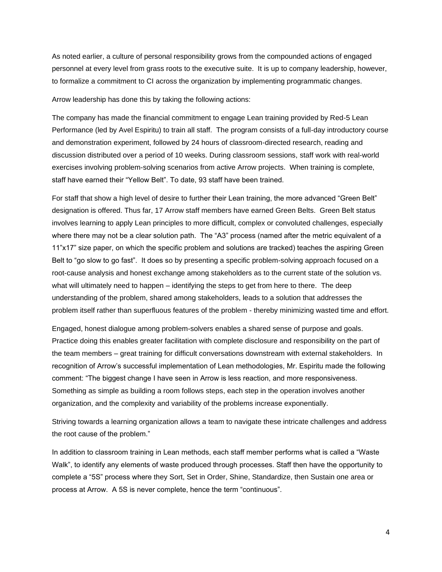As noted earlier, a culture of personal responsibility grows from the compounded actions of engaged personnel at every level from grass roots to the executive suite. It is up to company leadership, however, to formalize a commitment to CI across the organization by implementing programmatic changes.

Arrow leadership has done this by taking the following actions:

The company has made the financial commitment to engage Lean training provided by Red-5 Lean Performance (led by Avel Espiritu) to train all staff. The program consists of a full-day introductory course and demonstration experiment, followed by 24 hours of classroom-directed research, reading and discussion distributed over a period of 10 weeks. During classroom sessions, staff work with real-world exercises involving problem-solving scenarios from active Arrow projects. When training is complete, staff have earned their "Yellow Belt". To date, 93 staff have been trained.

For staff that show a high level of desire to further their Lean training, the more advanced "Green Belt" designation is offered. Thus far, 17 Arrow staff members have earned Green Belts. Green Belt status involves learning to apply Lean principles to more difficult, complex or convoluted challenges, especially where there may not be a clear solution path. The "A3" process (named after the metric equivalent of a 11"x17" size paper, on which the specific problem and solutions are tracked) teaches the aspiring Green Belt to "go slow to go fast". It does so by presenting a specific problem-solving approach focused on a root-cause analysis and honest exchange among stakeholders as to the current state of the solution vs. what will ultimately need to happen – identifying the steps to get from here to there. The deep understanding of the problem, shared among stakeholders, leads to a solution that addresses the problem itself rather than superfluous features of the problem - thereby minimizing wasted time and effort.

Engaged, honest dialogue among problem-solvers enables a shared sense of purpose and goals. Practice doing this enables greater facilitation with complete disclosure and responsibility on the part of the team members – great training for difficult conversations downstream with external stakeholders. In recognition of Arrow's successful implementation of Lean methodologies, Mr. Espiritu made the following comment: "The biggest change I have seen in Arrow is less reaction, and more responsiveness. Something as simple as building a room follows steps, each step in the operation involves another organization, and the complexity and variability of the problems increase exponentially.

Striving towards a learning organization allows a team to navigate these intricate challenges and address the root cause of the problem."

In addition to classroom training in Lean methods, each staff member performs what is called a "Waste Walk", to identify any elements of waste produced through processes. Staff then have the opportunity to complete a "5S" process where they Sort, Set in Order, Shine, Standardize, then Sustain one area or process at Arrow. A 5S is never complete, hence the term "continuous".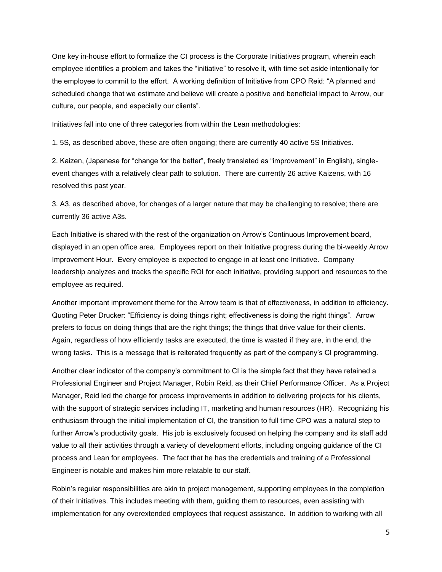One key in-house effort to formalize the CI process is the Corporate Initiatives program, wherein each employee identifies a problem and takes the "initiative" to resolve it, with time set aside intentionally for the employee to commit to the effort. A working definition of Initiative from CPO Reid: "A planned and scheduled change that we estimate and believe will create a positive and beneficial impact to Arrow, our culture, our people, and especially our clients".

Initiatives fall into one of three categories from within the Lean methodologies:

1. 5S, as described above, these are often ongoing; there are currently 40 active 5S Initiatives.

2. Kaizen, (Japanese for "change for the better", freely translated as "improvement" in English), singleevent changes with a relatively clear path to solution. There are currently 26 active Kaizens, with 16 resolved this past year.

3. A3, as described above, for changes of a larger nature that may be challenging to resolve; there are currently 36 active A3s.

Each Initiative is shared with the rest of the organization on Arrow's Continuous Improvement board, displayed in an open office area. Employees report on their Initiative progress during the bi-weekly Arrow Improvement Hour. Every employee is expected to engage in at least one Initiative. Company leadership analyzes and tracks the specific ROI for each initiative, providing support and resources to the employee as required.

Another important improvement theme for the Arrow team is that of effectiveness, in addition to efficiency. Quoting Peter Drucker: "Efficiency is doing things right; effectiveness is doing the right things". Arrow prefers to focus on doing things that are the right things; the things that drive value for their clients. Again, regardless of how efficiently tasks are executed, the time is wasted if they are, in the end, the wrong tasks. This is a message that is reiterated frequently as part of the company's CI programming.

Another clear indicator of the company's commitment to CI is the simple fact that they have retained a Professional Engineer and Project Manager, Robin Reid, as their Chief Performance Officer. As a Project Manager, Reid led the charge for process improvements in addition to delivering projects for his clients, with the support of strategic services including IT, marketing and human resources (HR). Recognizing his enthusiasm through the initial implementation of CI, the transition to full time CPO was a natural step to further Arrow's productivity goals. His job is exclusively focused on helping the company and its staff add value to all their activities through a variety of development efforts, including ongoing guidance of the CI process and Lean for employees. The fact that he has the credentials and training of a Professional Engineer is notable and makes him more relatable to our staff.

Robin's regular responsibilities are akin to project management, supporting employees in the completion of their Initiatives. This includes meeting with them, guiding them to resources, even assisting with implementation for any overextended employees that request assistance. In addition to working with all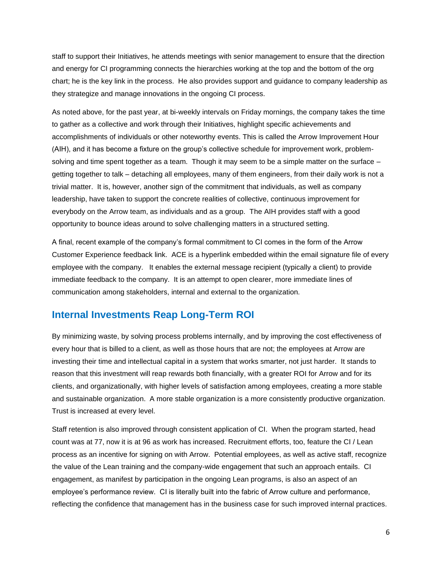staff to support their Initiatives, he attends meetings with senior management to ensure that the direction and energy for CI programming connects the hierarchies working at the top and the bottom of the org chart; he is the key link in the process. He also provides support and guidance to company leadership as they strategize and manage innovations in the ongoing CI process.

As noted above, for the past year, at bi-weekly intervals on Friday mornings, the company takes the time to gather as a collective and work through their Initiatives, highlight specific achievements and accomplishments of individuals or other noteworthy events. This is called the Arrow Improvement Hour (AIH), and it has become a fixture on the group's collective schedule for improvement work, problemsolving and time spent together as a team. Though it may seem to be a simple matter on the surface – getting together to talk – detaching all employees, many of them engineers, from their daily work is not a trivial matter. It is, however, another sign of the commitment that individuals, as well as company leadership, have taken to support the concrete realities of collective, continuous improvement for everybody on the Arrow team, as individuals and as a group. The AIH provides staff with a good opportunity to bounce ideas around to solve challenging matters in a structured setting.

A final, recent example of the company's formal commitment to CI comes in the form of the Arrow Customer Experience feedback link. ACE is a hyperlink embedded within the email signature file of every employee with the company. It enables the external message recipient (typically a client) to provide immediate feedback to the company. It is an attempt to open clearer, more immediate lines of communication among stakeholders, internal and external to the organization.

#### **Internal Investments Reap Long-Term ROI**

By minimizing waste, by solving process problems internally, and by improving the cost effectiveness of every hour that is billed to a client, as well as those hours that are not; the employees at Arrow are investing their time and intellectual capital in a system that works smarter, not just harder. It stands to reason that this investment will reap rewards both financially, with a greater ROI for Arrow and for its clients, and organizationally, with higher levels of satisfaction among employees, creating a more stable and sustainable organization. A more stable organization is a more consistently productive organization. Trust is increased at every level.

Staff retention is also improved through consistent application of CI. When the program started, head count was at 77, now it is at 96 as work has increased. Recruitment efforts, too, feature the CI / Lean process as an incentive for signing on with Arrow. Potential employees, as well as active staff, recognize the value of the Lean training and the company-wide engagement that such an approach entails. CI engagement, as manifest by participation in the ongoing Lean programs, is also an aspect of an employee's performance review. CI is literally built into the fabric of Arrow culture and performance, reflecting the confidence that management has in the business case for such improved internal practices.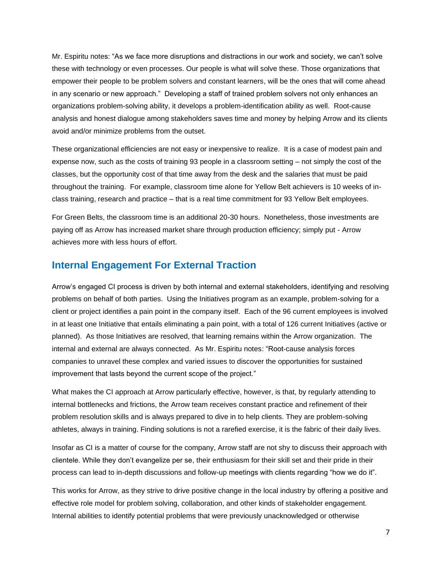Mr. Espiritu notes: "As we face more disruptions and distractions in our work and society, we can't solve these with technology or even processes. Our people is what will solve these. Those organizations that empower their people to be problem solvers and constant learners, will be the ones that will come ahead in any scenario or new approach." Developing a staff of trained problem solvers not only enhances an organizations problem-solving ability, it develops a problem-identification ability as well. Root-cause analysis and honest dialogue among stakeholders saves time and money by helping Arrow and its clients avoid and/or minimize problems from the outset.

These organizational efficiencies are not easy or inexpensive to realize. It is a case of modest pain and expense now, such as the costs of training 93 people in a classroom setting – not simply the cost of the classes, but the opportunity cost of that time away from the desk and the salaries that must be paid throughout the training. For example, classroom time alone for Yellow Belt achievers is 10 weeks of inclass training, research and practice – that is a real time commitment for 93 Yellow Belt employees.

For Green Belts, the classroom time is an additional 20-30 hours. Nonetheless, those investments are paying off as Arrow has increased market share through production efficiency; simply put - Arrow achieves more with less hours of effort.

#### **Internal Engagement For External Traction**

Arrow's engaged CI process is driven by both internal and external stakeholders, identifying and resolving problems on behalf of both parties. Using the Initiatives program as an example, problem-solving for a client or project identifies a pain point in the company itself. Each of the 96 current employees is involved in at least one Initiative that entails eliminating a pain point, with a total of 126 current Initiatives (active or planned). As those Initiatives are resolved, that learning remains within the Arrow organization. The internal and external are always connected. As Mr. Espiritu notes: "Root-cause analysis forces companies to unravel these complex and varied issues to discover the opportunities for sustained improvement that lasts beyond the current scope of the project."

What makes the CI approach at Arrow particularly effective, however, is that, by regularly attending to internal bottlenecks and frictions, the Arrow team receives constant practice and refinement of their problem resolution skills and is always prepared to dive in to help clients. They are problem-solving athletes, always in training. Finding solutions is not a rarefied exercise, it is the fabric of their daily lives.

Insofar as CI is a matter of course for the company, Arrow staff are not shy to discuss their approach with clientele. While they don't evangelize per se, their enthusiasm for their skill set and their pride in their process can lead to in-depth discussions and follow-up meetings with clients regarding "how we do it".

This works for Arrow, as they strive to drive positive change in the local industry by offering a positive and effective role model for problem solving, collaboration, and other kinds of stakeholder engagement. Internal abilities to identify potential problems that were previously unacknowledged or otherwise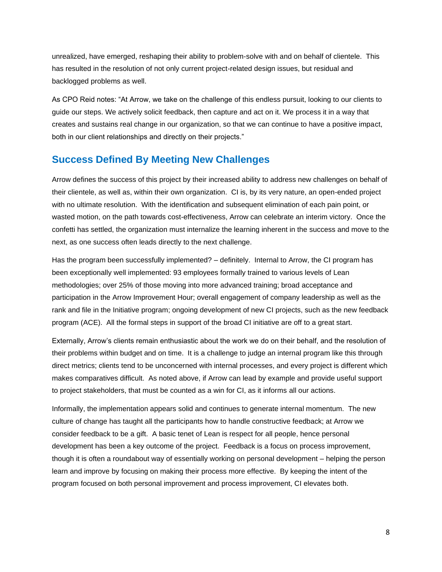unrealized, have emerged, reshaping their ability to problem-solve with and on behalf of clientele. This has resulted in the resolution of not only current project-related design issues, but residual and backlogged problems as well.

As CPO Reid notes: "At Arrow, we take on the challenge of this endless pursuit, looking to our clients to guide our steps. We actively solicit feedback, then capture and act on it. We process it in a way that creates and sustains real change in our organization, so that we can continue to have a positive impact, both in our client relationships and directly on their projects."

#### **Success Defined By Meeting New Challenges**

Arrow defines the success of this project by their increased ability to address new challenges on behalf of their clientele, as well as, within their own organization. CI is, by its very nature, an open-ended project with no ultimate resolution. With the identification and subsequent elimination of each pain point, or wasted motion, on the path towards cost-effectiveness, Arrow can celebrate an interim victory. Once the confetti has settled, the organization must internalize the learning inherent in the success and move to the next, as one success often leads directly to the next challenge.

Has the program been successfully implemented? – definitely. Internal to Arrow, the CI program has been exceptionally well implemented: 93 employees formally trained to various levels of Lean methodologies; over 25% of those moving into more advanced training; broad acceptance and participation in the Arrow Improvement Hour; overall engagement of company leadership as well as the rank and file in the Initiative program; ongoing development of new CI projects, such as the new feedback program (ACE). All the formal steps in support of the broad CI initiative are off to a great start.

Externally, Arrow's clients remain enthusiastic about the work we do on their behalf, and the resolution of their problems within budget and on time. It is a challenge to judge an internal program like this through direct metrics; clients tend to be unconcerned with internal processes, and every project is different which makes comparatives difficult. As noted above, if Arrow can lead by example and provide useful support to project stakeholders, that must be counted as a win for CI, as it informs all our actions.

Informally, the implementation appears solid and continues to generate internal momentum. The new culture of change has taught all the participants how to handle constructive feedback; at Arrow we consider feedback to be a gift. A basic tenet of Lean is respect for all people, hence personal development has been a key outcome of the project. Feedback is a focus on process improvement, though it is often a roundabout way of essentially working on personal development – helping the person learn and improve by focusing on making their process more effective. By keeping the intent of the program focused on both personal improvement and process improvement, CI elevates both.